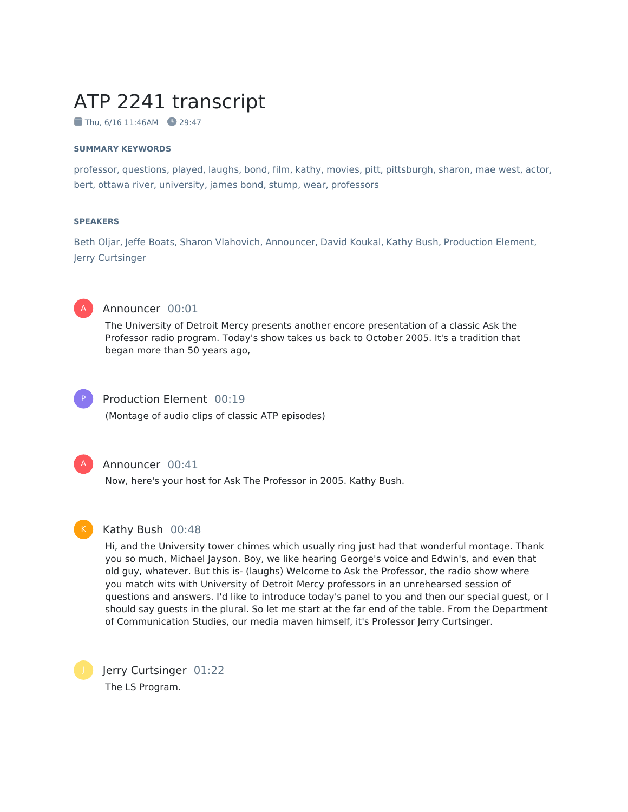# ATP 2241 transcript

 $\blacksquare$  Thu, 6/16 11:46AM  $\blacksquare$  29:47

#### **SUMMARY KEYWORDS**

professor, questions, played, laughs, bond, film, kathy, movies, pitt, pittsburgh, sharon, mae west, actor, bert, ottawa river, university, james bond, stump, wear, professors

#### **SPEAKERS**

Beth Oljar, Jeffe Boats, Sharon Vlahovich, Announcer, David Koukal, Kathy Bush, Production Element, Jerry Curtsinger



#### Announcer 00:01

The University of Detroit Mercy presents another encore presentation of a classic Ask the Professor radio program. Today's show takes us back to October 2005. It's a tradition that began more than 50 years ago,



#### Production Element 00:19

(Montage of audio clips of classic ATP episodes)



#### Announcer 00:41

Now, here's your host for Ask The Professor in 2005. Kathy Bush.



#### Kathy Bush 00:48

Hi, and the University tower chimes which usually ring just had that wonderful montage. Thank you so much, Michael Jayson. Boy, we like hearing George's voice and Edwin's, and even that old guy, whatever. But this is- (laughs) Welcome to Ask the Professor, the radio show where you match wits with University of Detroit Mercy professors in an unrehearsed session of questions and answers. I'd like to introduce today's panel to you and then our special guest, or I should say guests in the plural. So let me start at the far end of the table. From the Department of Communication Studies, our media maven himself, it's Professor Jerry Curtsinger.

Jerry Curtsinger 01:22 The LS Program.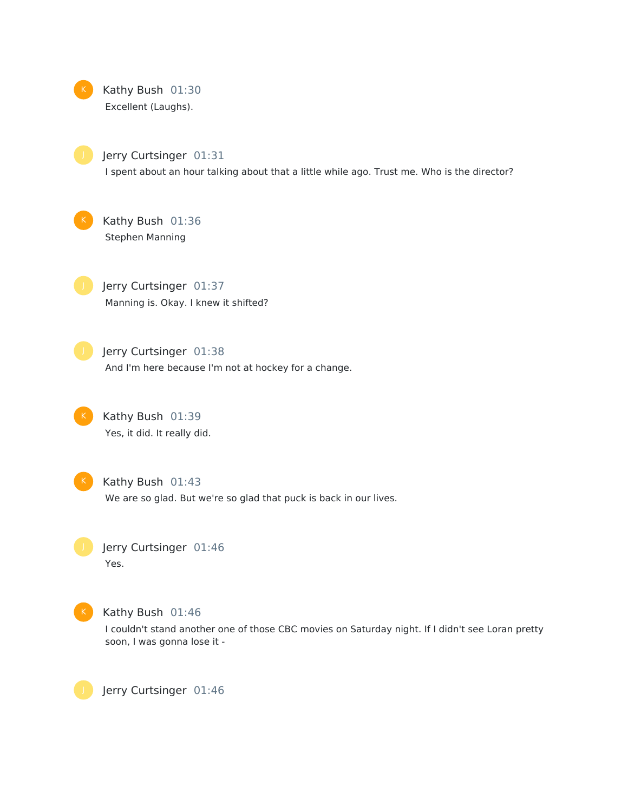

Jerry Curtsinger 01:31 I spent about an hour talking about that a little while ago. Trust me. Who is the director?

Kathy Bush 01:36 Stephen Manning

Jerry Curtsinger 01:37 Manning is. Okay. I knew it shifted?

Jerry Curtsinger 01:38 And I'm here because I'm not at hockey for a change.

Kathy Bush 01:39 Yes, it did. It really did.

Kathy Bush 01:43

We are so glad. But we're so glad that puck is back in our lives.

Jerry Curtsinger 01:46 Yes.



Kathy Bush 01:46

I couldn't stand another one of those CBC movies on Saturday night. If I didn't see Loran pretty soon, I was gonna lose it -

Jerry Curtsinger 01:46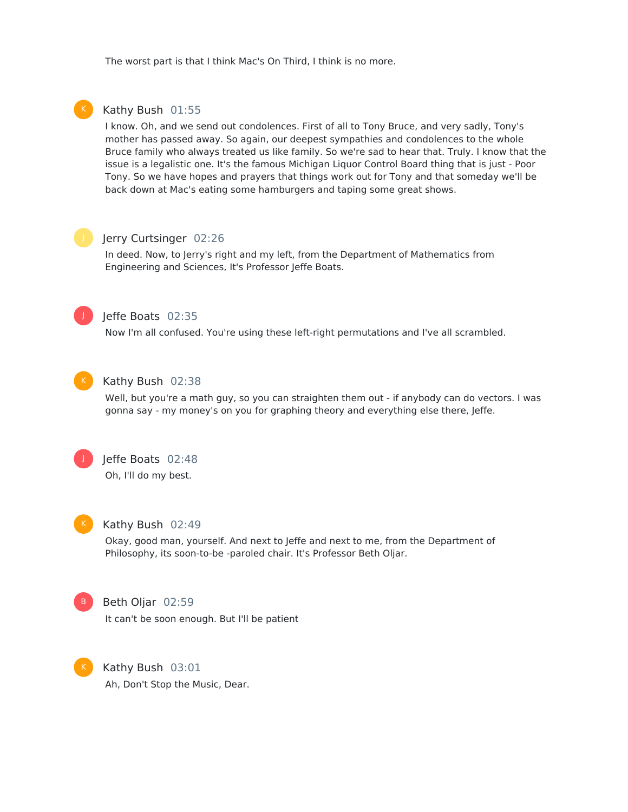The worst part is that I think Mac's On Third, I think is no more.



#### Kathy Bush 01:55

I know. Oh, and we send out condolences. First of all to Tony Bruce, and very sadly, Tony's mother has passed away. So again, our deepest sympathies and condolences to the whole Bruce family who always treated us like family. So we're sad to hear that. Truly. I know that the issue is a legalistic one. It's the famous Michigan Liquor Control Board thing that is just - Poor Tony. So we have hopes and prayers that things work out for Tony and that someday we'll be back down at Mac's eating some hamburgers and taping some great shows.

### Jerry Curtsinger 02:26

In deed. Now, to Jerry's right and my left, from the Department of Mathematics from Engineering and Sciences, It's Professor Jeffe Boats.



### Jeffe Boats 02:35

Now I'm all confused. You're using these left-right permutations and I've all scrambled.



#### Kathy Bush 02:38

Well, but you're a math guy, so you can straighten them out - if anybody can do vectors. I was gonna say - my money's on you for graphing theory and everything else there, Jeffe.



### Jeffe Boats 02:48

Oh, I'll do my best.



#### Kathy Bush 02:49

Okay, good man, yourself. And next to Jeffe and next to me, from the Department of Philosophy, its soon-to-be -paroled chair. It's Professor Beth Oljar.



#### Beth Oljar 02:59

It can't be soon enough. But I'll be patient



Kathy Bush 03:01 Ah, Don't Stop the Music, Dear.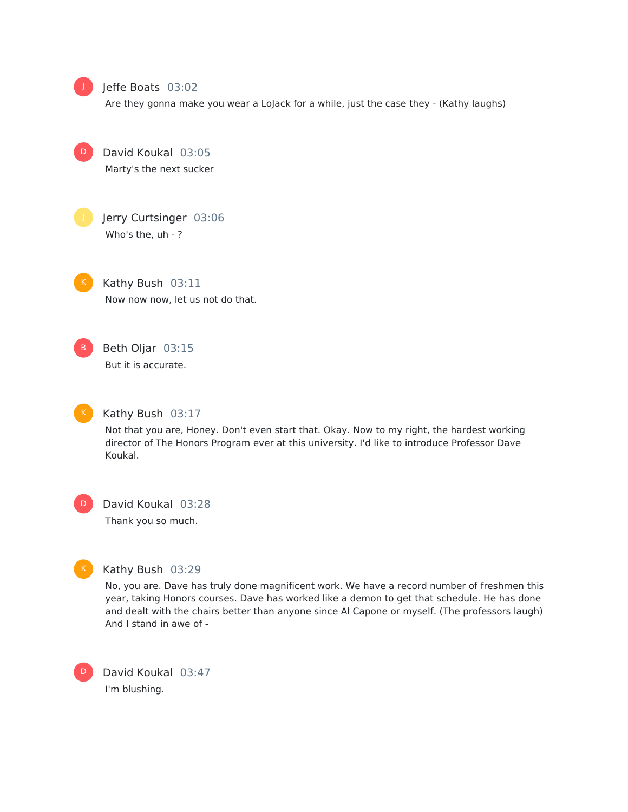

D

#### Jeffe Boats 03:02

Are they gonna make you wear a LoJack for a while, just the case they - (Kathy laughs)

David Koukal 03:05 Marty's the next sucker



Jerry Curtsinger 03:06 Who's the, uh - ?

Kathy Bush 03:11 Now now now, let us not do that.

Beth Oljar 03:15 But it is accurate.



#### Kathy Bush 03:17

Not that you are, Honey. Don't even start that. Okay. Now to my right, the hardest working director of The Honors Program ever at this university. I'd like to introduce Professor Dave Koukal.

D

## David Koukal 03:28

Thank you so much.



D

### Kathy Bush 03:29

No, you are. Dave has truly done magnificent work. We have a record number of freshmen this year, taking Honors courses. Dave has worked like a demon to get that schedule. He has done and dealt with the chairs better than anyone since Al Capone or myself. (The professors laugh) And I stand in awe of -

David Koukal 03:47 I'm blushing.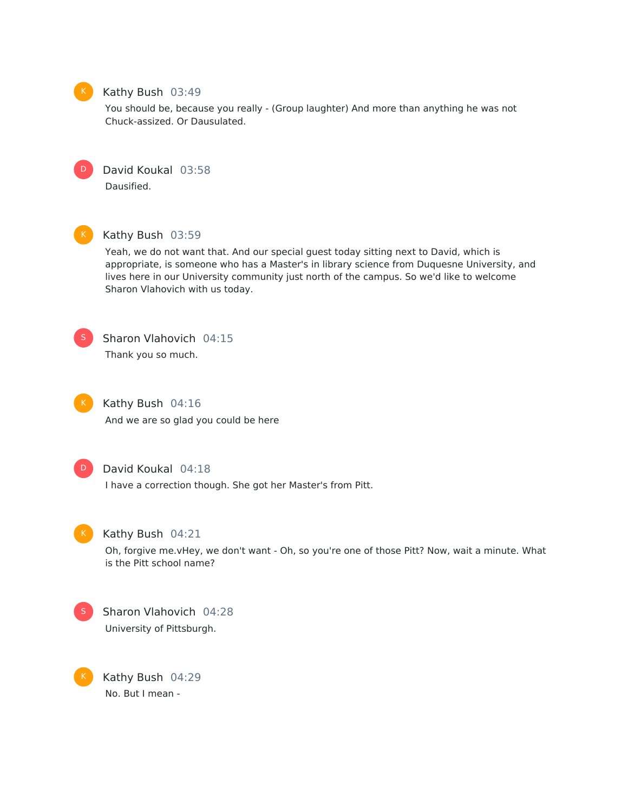

#### Kathy Bush 03:49

You should be, because you really - (Group laughter) And more than anything he was not Chuck-assized. Or Dausulated.



David Koukal 03:58 Dausified.



### Kathy Bush 03:59

Yeah, we do not want that. And our special guest today sitting next to David, which is appropriate, is someone who has a Master's in library science from Duquesne University, and lives here in our University community just north of the campus. So we'd like to welcome Sharon Vlahovich with us today.



Sharon Vlahovich 04:15 Thank you so much.



### Kathy Bush 04:16

And we are so glad you could be here



### David Koukal 04:18

I have a correction though. She got her Master's from Pitt.



#### Kathy Bush 04:21

Oh, forgive me.vHey, we don't want - Oh, so you're one of those Pitt? Now, wait a minute. What is the Pitt school name?



K

Sharon Vlahovich 04:28 University of Pittsburgh.

Kathy Bush 04:29 No. But I mean -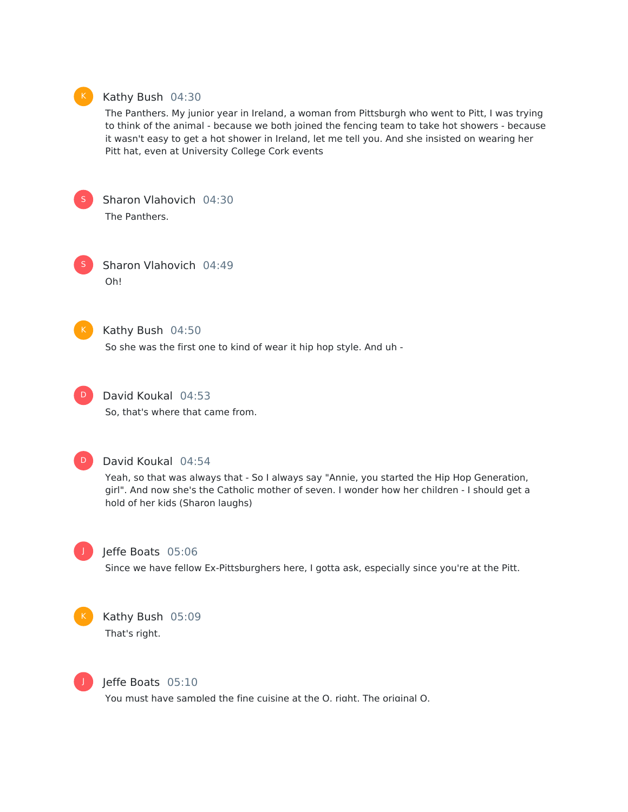

#### Kathy Bush 04:30

The Panthers. My junior year in Ireland, a woman from Pittsburgh who went to Pitt, I was trying to think of the animal - because we both joined the fencing team to take hot showers - because it wasn't easy to get a hot shower in Ireland, let me tell you. And she insisted on wearing her Pitt hat, even at University College Cork events



Sharon Vlahovich 04:30 The Panthers.

Sharon Vlahovich 04:49 Oh!



### Kathy Bush 04:50

So she was the first one to kind of wear it hip hop style. And uh -



### David Koukal 04:53

So, that's where that came from.



#### David Koukal 04:54

Yeah, so that was always that - So I always say "Annie, you started the Hip Hop Generation, girl". And now she's the Catholic mother of seven. I wonder how her children - I should get a hold of her kids (Sharon laughs)



### Jeffe Boats 05:06

Since we have fellow Ex-Pittsburghers here, I gotta ask, especially since you're at the Pitt.



### Kathy Bush 05:09 That's right.



#### Jeffe Boats 05:10

You must have sampled the fine cuisine at the O, right. The original O.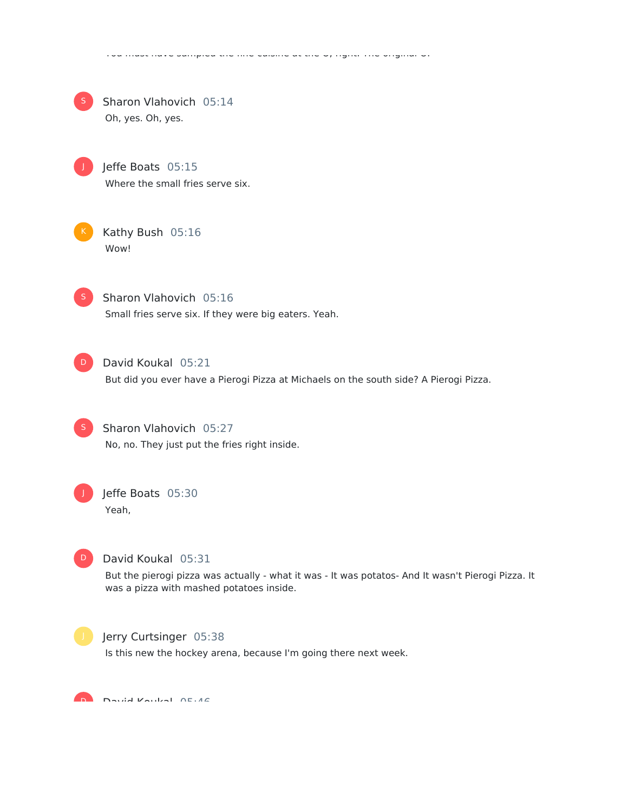|    | Sharon Vlahovich 05:14<br>Oh, yes. Oh, yes.                                                                                                                          |
|----|----------------------------------------------------------------------------------------------------------------------------------------------------------------------|
|    | Jeffe Boats 05:15<br>Where the small fries serve six.                                                                                                                |
|    | Kathy Bush 05:16<br>Wow!                                                                                                                                             |
|    | Sharon Vlahovich 05:16<br>Small fries serve six. If they were big eaters. Yeah.                                                                                      |
| D. | David Koukal 05:21<br>But did you ever have a Pierogi Pizza at Michaels on the south side? A Pierogi Pizza.                                                          |
|    | Sharon Vlahovich 05:27<br>No, no. They just put the fries right inside.                                                                                              |
|    | Jeffe Boats 05:30<br>Yeah,                                                                                                                                           |
|    | David Koukal 05:31<br>But the pierogi pizza was actually - what it was - It was potatos- And It wasn't Pierogi Pizza. It<br>was a pizza with mashed potatoes inside. |
|    | Jerry Curtsinger 05:38<br>Is this new the hockey arena, because I'm going there next week.                                                                           |
|    |                                                                                                                                                                      |

You must have sampled the fine cuisine at the O, right. The original O.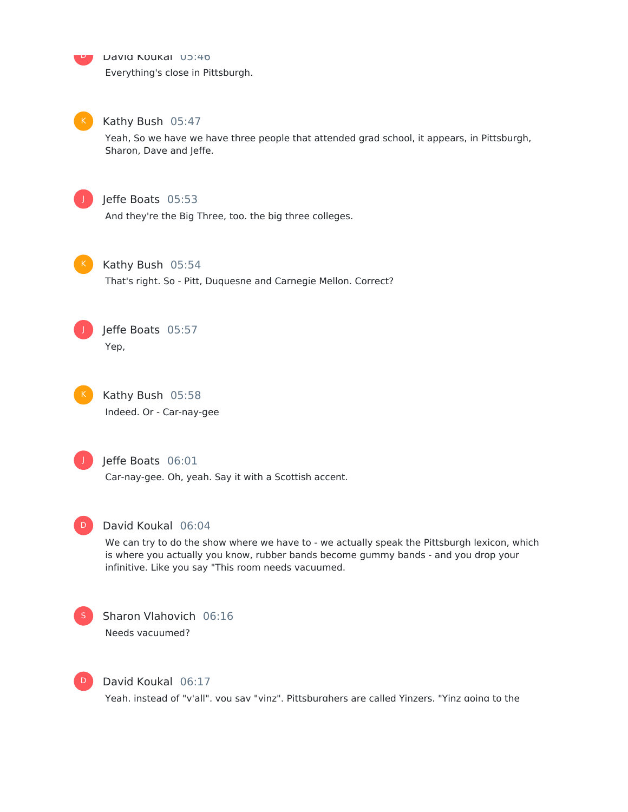David Koukal 05:40

Everything's close in Pittsburgh.



 $\overline{\mathsf{D}}$ 

### Kathy Bush 05:47

Yeah, So we have we have three people that attended grad school, it appears, in Pittsburgh, Sharon, Dave and Jeffe.



### Jeffe Boats 05:53

And they're the Big Three, too. the big three colleges.



#### Kathy Bush 05:54

That's right. So - Pitt, Duquesne and Carnegie Mellon. Correct?



Jeffe Boats 05:57 Yep,



Kathy Bush 05:58 Indeed. Or - Car-nay-gee



### Jeffe Boats 06:01

Car-nay-gee. Oh, yeah. Say it with a Scottish accent.



#### David Koukal 06:04

We can try to do the show where we have to - we actually speak the Pittsburgh lexicon, which is where you actually you know, rubber bands become gummy bands - and you drop your infinitive. Like you say "This room needs vacuumed.



### Sharon Vlahovich 06:16 Needs vacuumed?



#### David Koukal 06:17

Yeah, instead of "y'all", you say "yinz". Pittsburghers are called Yinzers. "Yinz going to the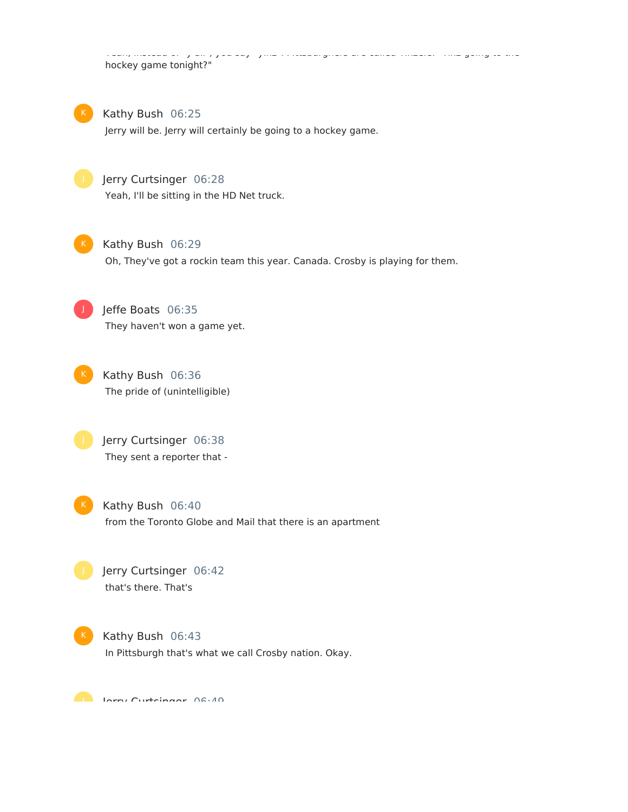Yeah, instead of "y'all", you say "yinz". Pittsburghers are called Yinzers. "Yinz going to the hockey game tonight?"



Kathy Bush 06:25

Jerry will be. Jerry will certainly be going to a hockey game.



### Jerry Curtsinger 06:28

Yeah, I'll be sitting in the HD Net truck.



### Kathy Bush 06:29

Oh, They've got a rockin team this year. Canada. Crosby is playing for them.



Jeffe Boats 06:35 They haven't won a game yet.



Kathy Bush 06:36 The pride of (unintelligible)

Jerry Curtsinger 06:38 They sent a reporter that -



## Kathy Bush 06:40 from the Toronto Globe and Mail that there is an apartment

Jerry Curtsinger 06:42 that's there. That's



Kathy Bush 06:43 In Pittsburgh that's what we call Crosby nation. Okay.

**Jerry Curtsinger 06:40**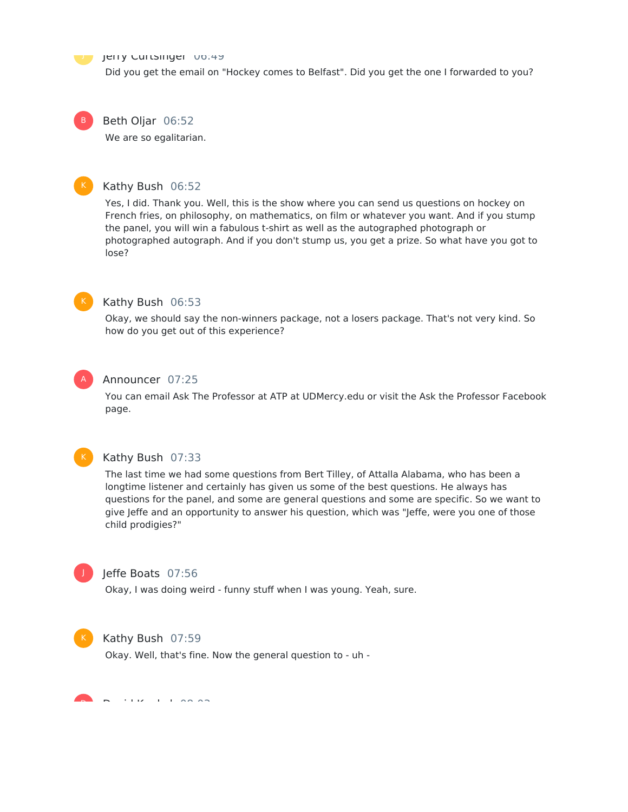#### Jerry Curtsinger 00:49

Did you get the email on "Hockey comes to Belfast". Did you get the one I forwarded to you?

Beth Oljar 06:52 We are so egalitarian.

#### Kathy Bush 06:52

Yes, I did. Thank you. Well, this is the show where you can send us questions on hockey on French fries, on philosophy, on mathematics, on film or whatever you want. And if you stump the panel, you will win a fabulous t-shirt as well as the autographed photograph or photographed autograph. And if you don't stump us, you get a prize. So what have you got to lose?



B

### Kathy Bush 06:53

Okay, we should say the non-winners package, not a losers package. That's not very kind. So how do you get out of this experience?



#### Announcer 07:25

You can email Ask The Professor at ATP at UDMercy.edu or visit the Ask the Professor Facebook page.



#### Kathy Bush 07:33

The last time we had some questions from Bert Tilley, of Attalla Alabama, who has been a longtime listener and certainly has given us some of the best questions. He always has questions for the panel, and some are general questions and some are specific. So we want to give Jeffe and an opportunity to answer his question, which was "Jeffe, were you one of those child prodigies?"



### Jeffe Boats 07:56

Okay, I was doing weird - funny stuff when I was young. Yeah, sure.



#### Kathy Bush 07:59

Okay. Well, that's fine. Now the general question to - uh -

 $\overline{\phantom{a}}$   $\overline{\phantom{a}}$   $\overline{\phantom{a}}$   $\overline{\phantom{a}}$   $\overline{\phantom{a}}$   $\overline{\phantom{a}}$   $\overline{\phantom{a}}$   $\overline{\phantom{a}}$   $\overline{\phantom{a}}$   $\overline{\phantom{a}}$   $\overline{\phantom{a}}$   $\overline{\phantom{a}}$   $\overline{\phantom{a}}$   $\overline{\phantom{a}}$   $\overline{\phantom{a}}$   $\overline{\phantom{a}}$   $\overline{\phantom{a}}$   $\overline{\phantom{a}}$   $\overline{\$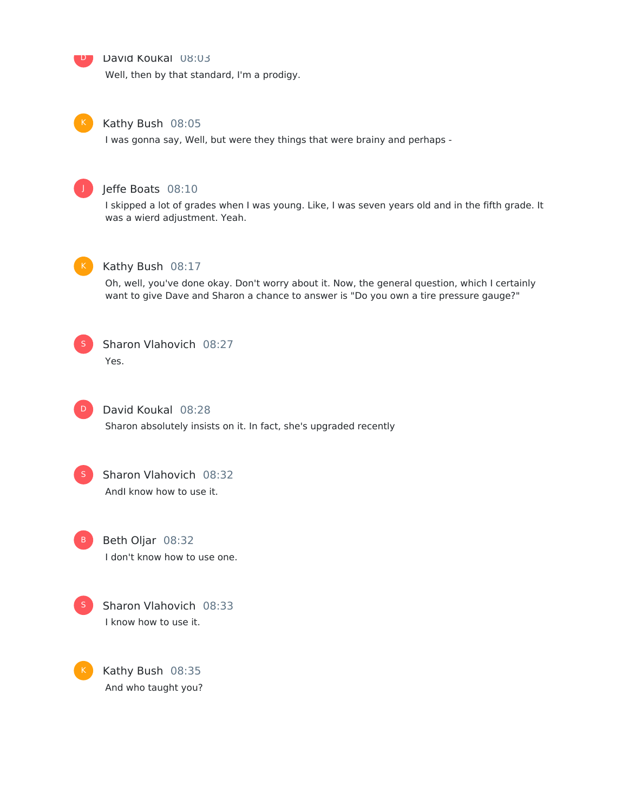#### David Koukal 08:03

Well, then by that standard, I'm a prodigy.



D

#### Kathy Bush 08:05

I was gonna say, Well, but were they things that were brainy and perhaps -



### Jeffe Boats 08:10

I skipped a lot of grades when I was young. Like, I was seven years old and in the fifth grade. It was a wierd adjustment. Yeah.



### Kathy Bush 08:17

Oh, well, you've done okay. Don't worry about it. Now, the general question, which I certainly want to give Dave and Sharon a chance to answer is "Do you own a tire pressure gauge?"



### Sharon Vlahovich 08:27 Yes.



#### David Koukal 08:28

Sharon absolutely insists on it. In fact, she's upgraded recently



### Sharon Vlahovich 08:32 AndI know how to use it.



### Beth Oljar 08:32 I don't know how to use one.



K

Sharon Vlahovich 08:33 I know how to use it.

Kathy Bush 08:35 And who taught you?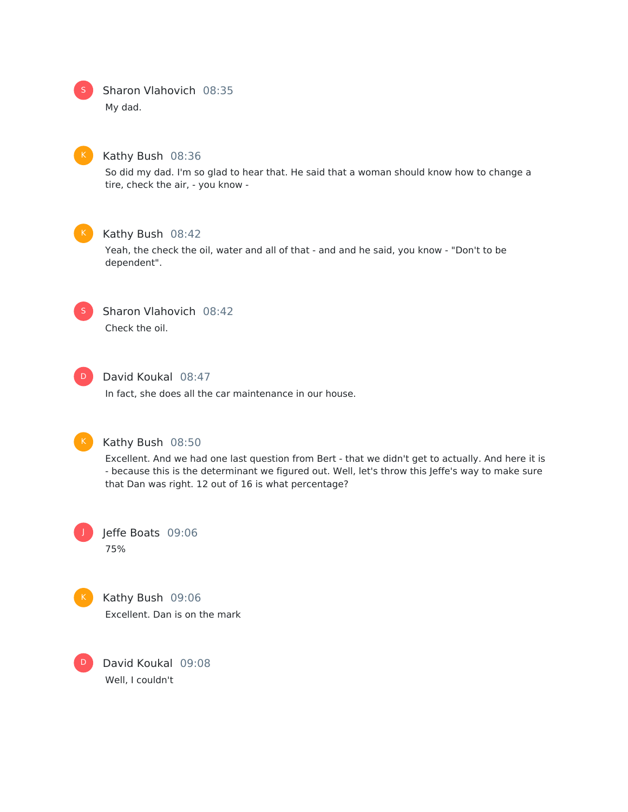Sharon Vlahovich 08:35

My dad.



#### Kathy Bush 08:36

So did my dad. I'm so glad to hear that. He said that a woman should know how to change a tire, check the air, - you know -



### Kathy Bush 08:42

Yeah, the check the oil, water and all of that - and and he said, you know - "Don't to be dependent".



### Sharon Vlahovich 08:42 Check the oil.



### David Koukal 08:47

In fact, she does all the car maintenance in our house.



### Kathy Bush 08:50

Excellent. And we had one last question from Bert - that we didn't get to actually. And here it is - because this is the determinant we figured out. Well, let's throw this Jeffe's way to make sure that Dan was right. 12 out of 16 is what percentage?





D

Kathy Bush 09:06 Excellent. Dan is on the mark

David Koukal 09:08 Well, I couldn't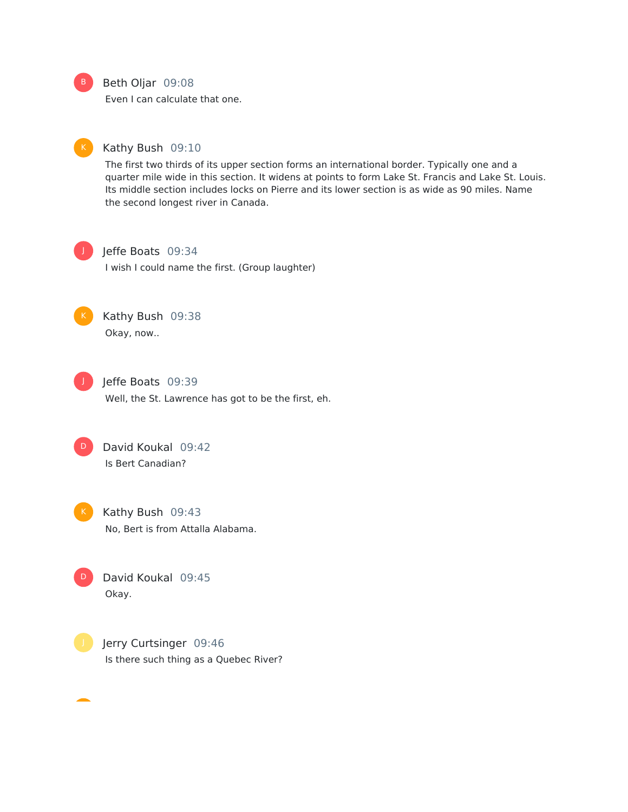B

#### Beth Oljar 09:08

Even I can calculate that one.

### Kathy Bush 09:10

The first two thirds of its upper section forms an international border. Typically one and a quarter mile wide in this section. It widens at points to form Lake St. Francis and Lake St. Louis. Its middle section includes locks on Pierre and its lower section is as wide as 90 miles. Name the second longest river in Canada.



### Jeffe Boats 09:34

I wish I could name the first. (Group laughter)



### Kathy Bush 09:38 Okay, now..



Jeffe Boats 09:39

Well, the St. Lawrence has got to be the first, eh.

David Koukal 09:42 Is Bert Canadian? D



D

Kathy Bush 09:43 No, Bert is from Attalla Alabama.

David Koukal 09:45 Okay.



Jerry Curtsinger 09:46 Is there such thing as a Quebec River?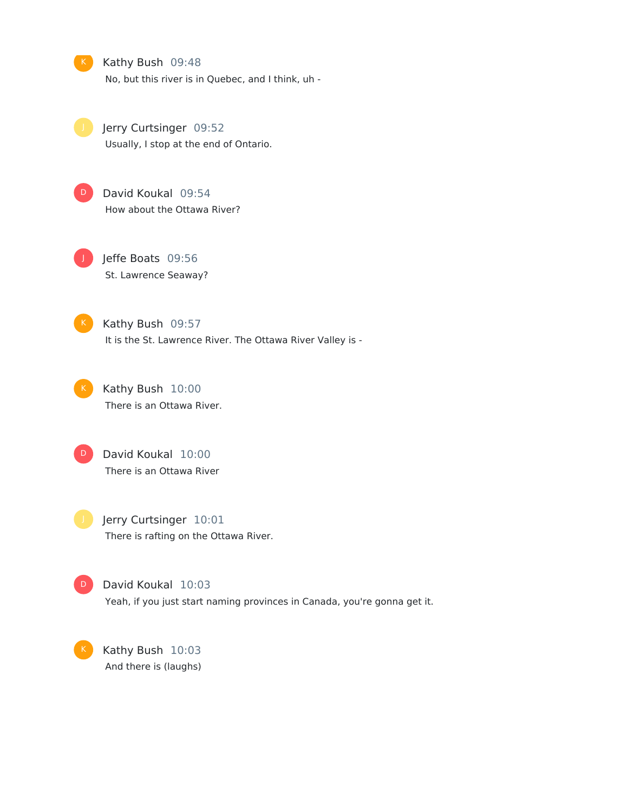Kathy Bush 09:48 No, but this river is in Quebec, and I think, uh -

Jerry Curtsinger 09:52 Usually, I stop at the end of Ontario.



David Koukal 09:54 How about the Ottawa River?

J

Jeffe Boats 09:56 St. Lawrence Seaway?

D

K

Kathy Bush 09:57 It is the St. Lawrence River. The Ottawa River Valley is -



Kathy Bush 10:00 There is an Ottawa River.



Jerry Curtsinger 10:01 There is rafting on the Ottawa River.

David Koukal 10:03 Yeah, if you just start naming provinces in Canada, you're gonna get it.

Kathy Bush 10:03 And there is (laughs)

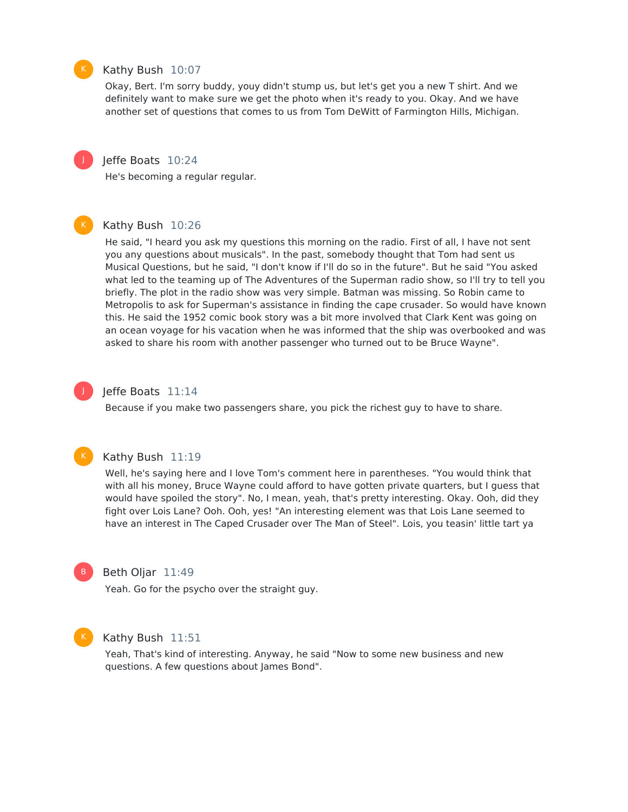

#### Kathy Bush 10:07

Okay, Bert. I'm sorry buddy, youy didn't stump us, but let's get you a new T shirt. And we definitely want to make sure we get the photo when it's ready to you. Okay. And we have another set of questions that comes to us from Tom DeWitt of Farmington Hills, Michigan.



#### Jeffe Boats 10:24

He's becoming a regular regular.

#### Kathy Bush 10:26

He said, "I heard you ask my questions this morning on the radio. First of all, I have not sent you any questions about musicals". In the past, somebody thought that Tom had sent us Musical Questions, but he said, "I don't know if I'll do so in the future". But he said "You asked what led to the teaming up of The Adventures of the Superman radio show, so I'll try to tell you briefly. The plot in the radio show was very simple. Batman was missing. So Robin came to Metropolis to ask for Superman's assistance in finding the cape crusader. So would have known this. He said the 1952 comic book story was a bit more involved that Clark Kent was going on an ocean voyage for his vacation when he was informed that the ship was overbooked and was asked to share his room with another passenger who turned out to be Bruce Wayne".

### J

#### Jeffe Boats 11:14

Because if you make two passengers share, you pick the richest guy to have to share.



#### Kathy Bush 11:19

Well, he's saying here and I love Tom's comment here in parentheses. "You would think that with all his money, Bruce Wayne could afford to have gotten private quarters, but I guess that would have spoiled the story". No, I mean, yeah, that's pretty interesting. Okay. Ooh, did they fight over Lois Lane? Ooh. Ooh, yes! "An interesting element was that Lois Lane seemed to have an interest in The Caped Crusader over The Man of Steel". Lois, you teasin' little tart ya



#### Beth Oljar 11:49

Yeah. Go for the psycho over the straight guy.



#### Kathy Bush 11:51

Yeah, That's kind of interesting. Anyway, he said "Now to some new business and new questions. A few questions about James Bond".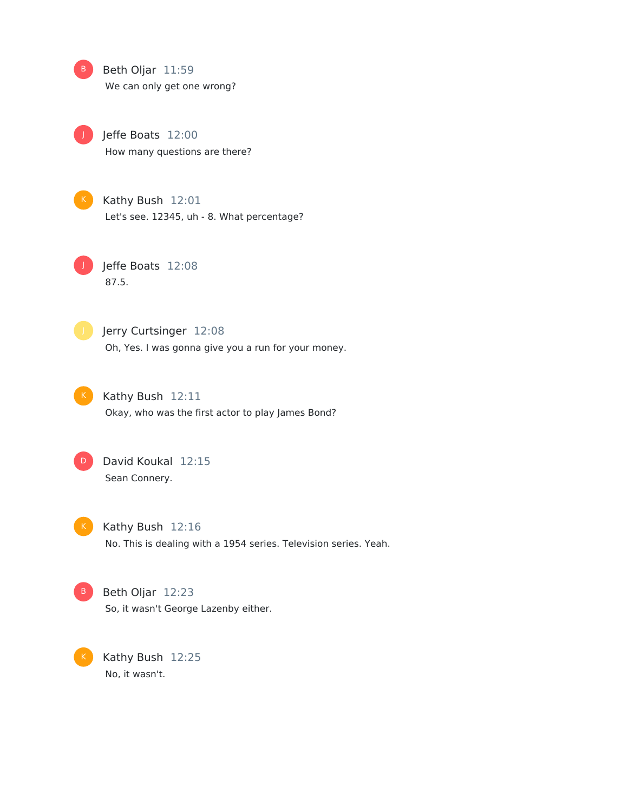Beth Oljar 11:59  $\overline{B}$ 

We can only get one wrong?



Jeffe Boats 12:00

How many questions are there?



Kathy Bush 12:01 Let's see. 12345, uh - 8. What percentage?

Jeffe Boats 12:08 87.5.



J

Jerry Curtsinger 12:08 Oh, Yes. I was gonna give you a run for your money.



Kathy Bush 12:11 Okay, who was the first actor to play James Bond?



David Koukal 12:15 Sean Connery.

 $K$ 

Kathy Bush 12:16 No. This is dealing with a 1954 series. Television series. Yeah.



K

B Beth Oljar 12:23 So, it wasn't George Lazenby either.

Kathy Bush 12:25 No, it wasn't.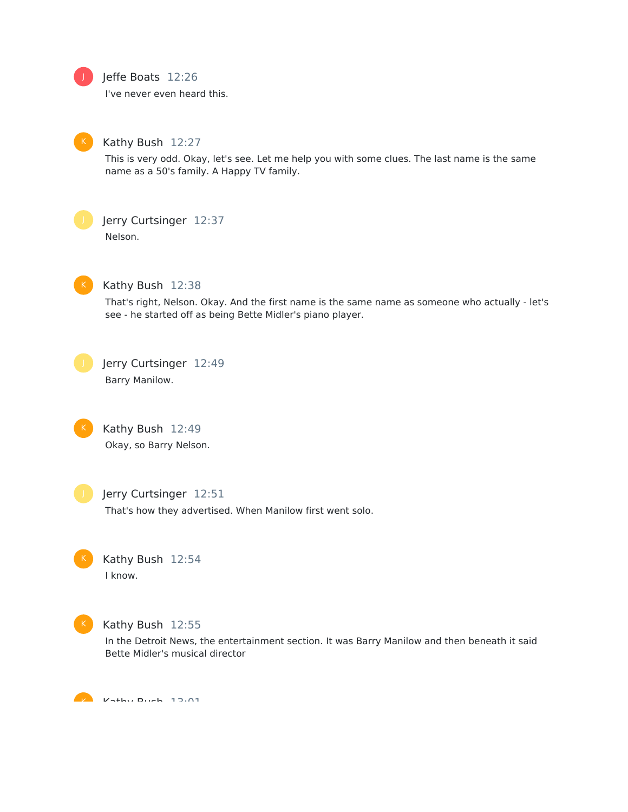

### Jeffe Boats 12:26

I've never even heard this.



### Kathy Bush 12:27

This is very odd. Okay, let's see. Let me help you with some clues. The last name is the same name as a 50's family. A Happy TV family.



### Jerry Curtsinger 12:37

Nelson.



#### Kathy Bush 12:38

That's right, Nelson. Okay. And the first name is the same name as someone who actually - let's see - he started off as being Bette Midler's piano player.



Jerry Curtsinger 12:49 Barry Manilow.



Kathy Bush 12:49 Okay, so Barry Nelson.



#### Jerry Curtsinger 12:51

That's how they advertised. When Manilow first went solo.



Kathy Bush 12:54 I know.



#### Kathy Bush 12:55

In the Detroit News, the entertainment section. It was Barry Manilow and then beneath it said Bette Midler's musical director

 $K$  Kath $\alpha$  Bush 13.01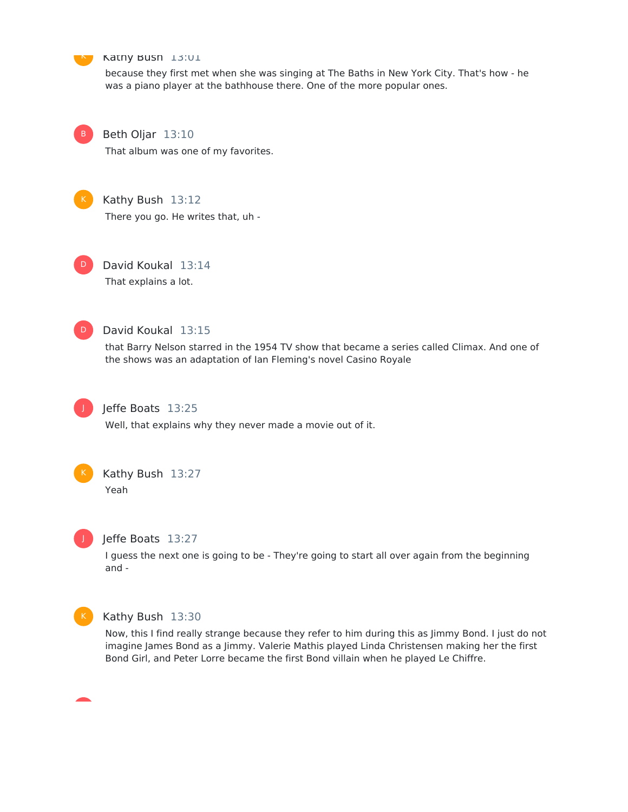

#### Kathy Bush 13:01

because they first met when she was singing at The Baths in New York City. That's how - he was a piano player at the bathhouse there. One of the more popular ones.

B

### Beth Oljar 13:10

That album was one of my favorites.



#### Kathy Bush 13:12

There you go. He writes that, uh -



David Koukal 13:14 That explains a lot.



### David Koukal 13:15

that Barry Nelson starred in the 1954 TV show that became a series called Climax. And one of the shows was an adaptation of Ian Fleming's novel Casino Royale



### Jeffe Boats 13:25

Well, that explains why they never made a movie out of it.



### Kathy Bush 13:27

Yeah



#### Jeffe Boats 13:27

I guess the next one is going to be - They're going to start all over again from the beginning and -



#### Kathy Bush 13:30

Now, this I find really strange because they refer to him during this as Jimmy Bond. I just do not imagine James Bond as a Jimmy. Valerie Mathis played Linda Christensen making her the first Bond Girl, and Peter Lorre became the first Bond villain when he played Le Chiffre.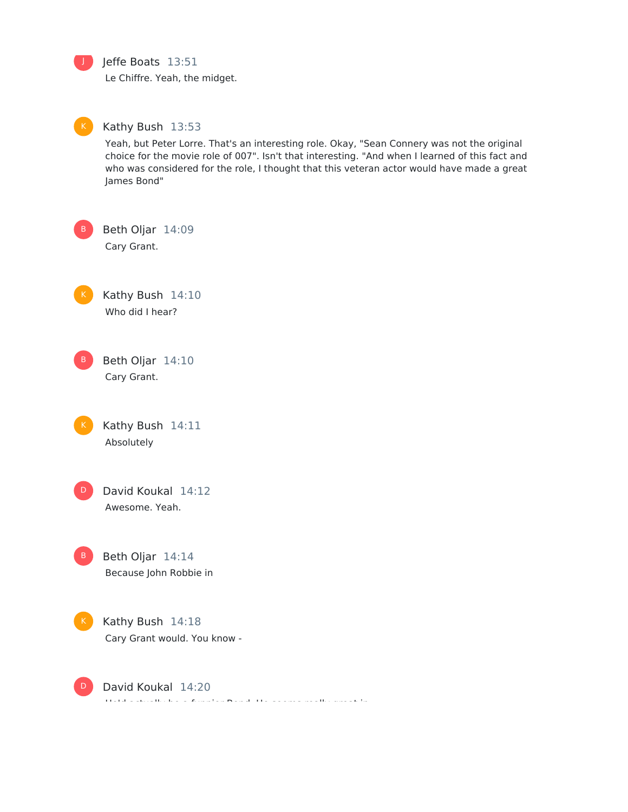J

### Jeffe Boats 13:51

Le Chiffre. Yeah, the midget.



#### Kathy Bush 13:53

Yeah, but Peter Lorre. That's an interesting role. Okay, "Sean Connery was not the original choice for the movie role of 007". Isn't that interesting. "And when I learned of this fact and who was considered for the role, I thought that this veteran actor would have made a great James Bond"

Beth Oljar 14:09

Cary Grant.

Kathy Bush 14:10 Who did I hear?

Beth Oljar 14:10 Cary Grant. B

Kathy Bush 14:11 Absolutely



David Koukal 14:12 Awesome. Yeah.

Beth Oljar 14:14 Because John Robbie in B



David Koukal 14:20 He'd actually be a funnier Bond, He seems really great in - D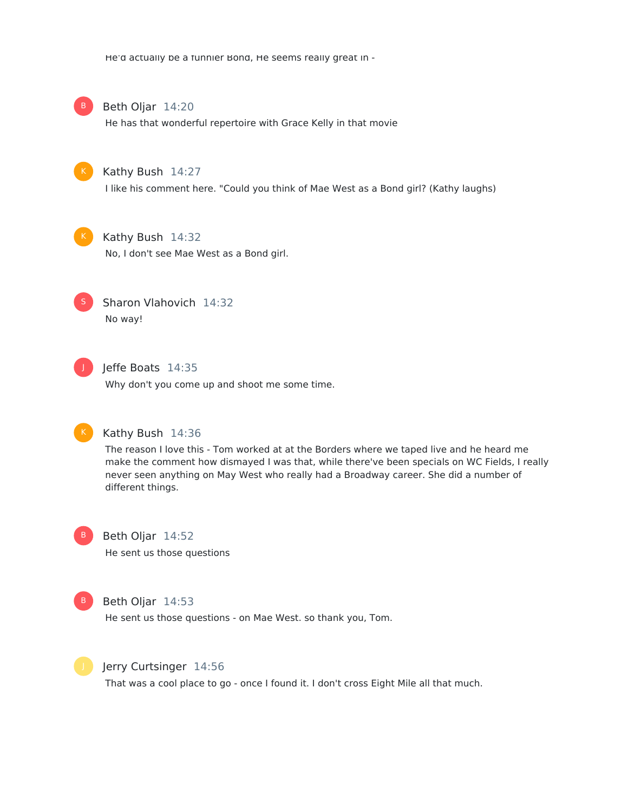He'd actually be a funnier Bond, He seems really great in -



Beth Oljar 14:20

He has that wonderful repertoire with Grace Kelly in that movie



Kathy Bush 14:27

I like his comment here. "Could you think of Mae West as a Bond girl? (Kathy laughs)



### Kathy Bush 14:32

No, I don't see Mae West as a Bond girl.



Sharon Vlahovich 14:32 No way!



### Jeffe Boats 14:35

Why don't you come up and shoot me some time.



#### Kathy Bush 14:36

The reason I love this - Tom worked at at the Borders where we taped live and he heard me make the comment how dismayed I was that, while there've been specials on WC Fields, I really never seen anything on May West who really had a Broadway career. She did a number of different things.



## Beth Oljar 14:52

He sent us those questions



#### Beth Oljar 14:53

He sent us those questions - on Mae West. so thank you, Tom.



#### Jerry Curtsinger 14:56

That was a cool place to go - once I found it. I don't cross Eight Mile all that much.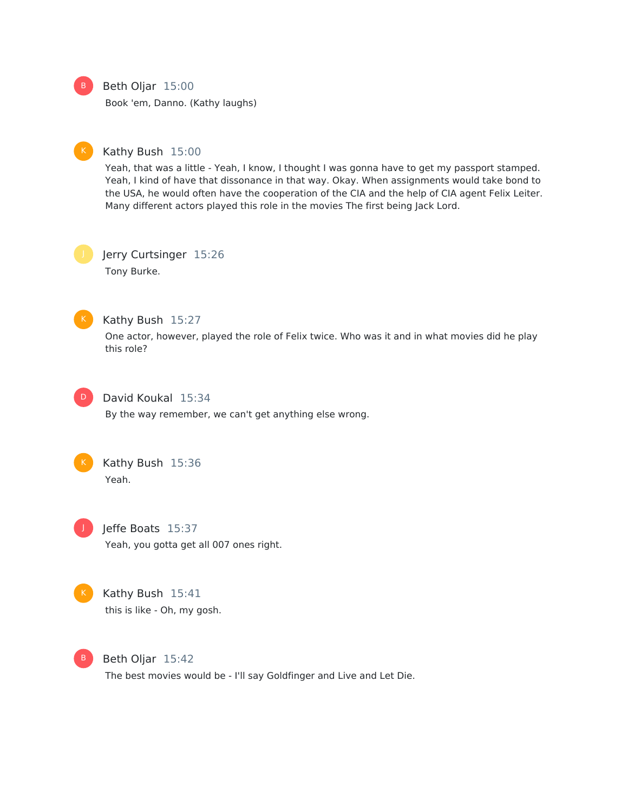

### Beth Oljar 15:00

Book 'em, Danno. (Kathy laughs)



#### Kathy Bush 15:00

Yeah, that was a little - Yeah, I know, I thought I was gonna have to get my passport stamped. Yeah, I kind of have that dissonance in that way. Okay. When assignments would take bond to the USA, he would often have the cooperation of the CIA and the help of CIA agent Felix Leiter. Many different actors played this role in the movies The first being Jack Lord.

Jerry Curtsinger 15:26 Tony Burke.



#### Kathy Bush 15:27

One actor, however, played the role of Felix twice. Who was it and in what movies did he play this role?



### David Koukal 15:34

By the way remember, we can't get anything else wrong.



### Kathy Bush 15:36

Yeah.



### Jeffe Boats 15:37

Yeah, you gotta get all 007 ones right.



### Kathy Bush 15:41

this is like - Oh, my gosh.



Beth Oljar 15:42

The best movies would be - I'll say Goldfinger and Live and Let Die.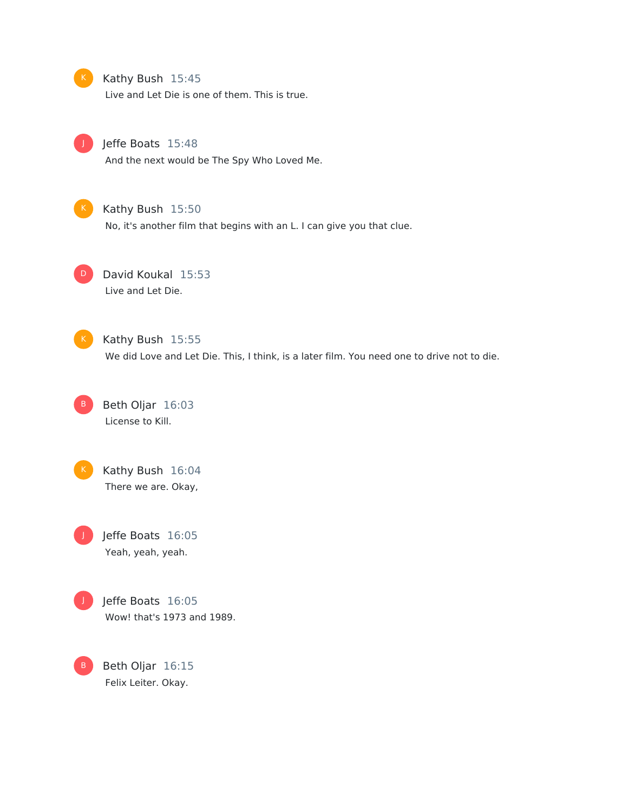#### K Kathy Bush 15:45

Live and Let Die is one of them. This is true.



### Jeffe Boats 15:48

And the next would be The Spy Who Loved Me.



### K Kathy Bush 15:50

No, it's another film that begins with an L. I can give you that clue.



### D David Koukal 15:53 Live and Let Die.



### K Kathy Bush 15:55

We did Love and Let Die. This, I think, is a later film. You need one to drive not to die.





Kathy Bush 16:04 There we are. Okay,

Jeffe Boats 16:05 Yeah, yeah, yeah.



Jeffe Boats 16:05 Wow! that's 1973 and 1989.

Beth Oljar 16:15 Felix Leiter. Okay.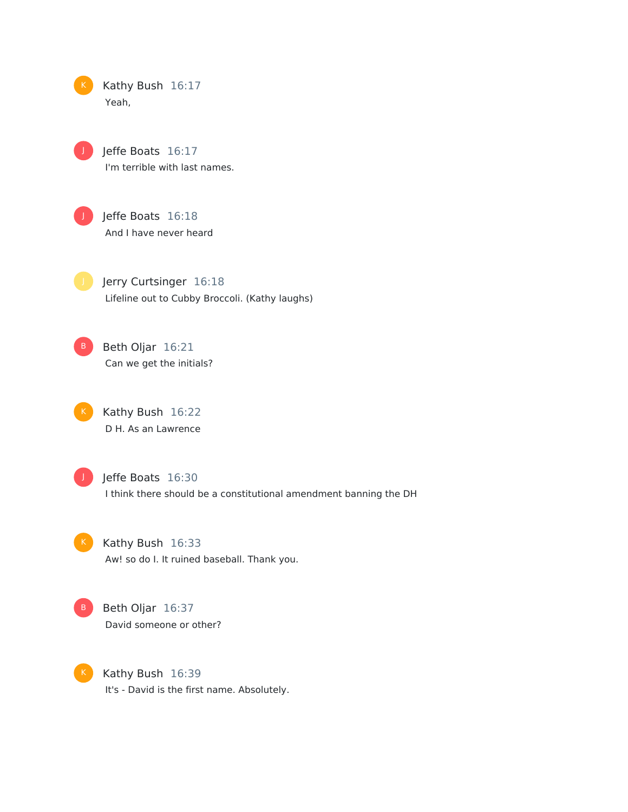| К | Kathy Bush 16:17 |  |
|---|------------------|--|
|   | Yeah.            |  |



Jeffe Boats 16:17 I'm terrible with last names.



Jeffe Boats 16:18 And I have never heard

Jerry Curtsinger 16:18 Lifeline out to Cubby Broccoli. (Kathy laughs)

Beth Oljar 16:21 Can we get the initials? B

> Kathy Bush 16:22 D H. As an Lawrence



Jeffe Boats 16:30

I think there should be a constitutional amendment banning the DH



Kathy Bush 16:33 Aw! so do I. It ruined baseball. Thank you.



Beth Oljar 16:37 David someone or other?



Kathy Bush 16:39 It's - David is the first name. Absolutely.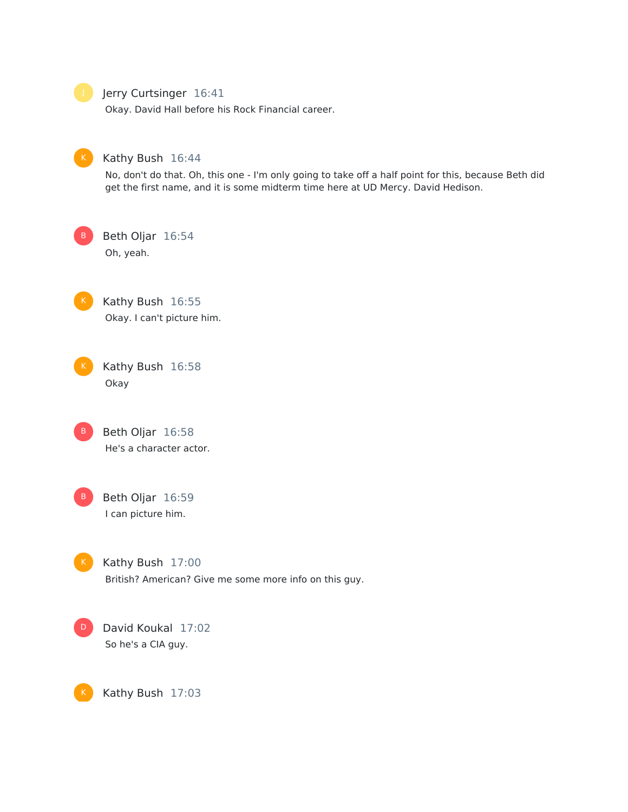#### Jerry Curtsinger 16:41

Okay. David Hall before his Rock Financial career.



### Kathy Bush 16:44

No, don't do that. Oh, this one - I'm only going to take off a half point for this, because Beth did get the first name, and it is some midterm time here at UD Mercy. David Hedison.

B

Oh, yeah.

Beth Oljar 16:54



Kathy Bush 16:55 Okay. I can't picture him.

Kathy Bush 16:58 Okay

Beth Oljar 16:58 He's a character actor. B



K

Beth Oljar 16:59 I can picture him.

Kathy Bush 17:00 British? American? Give me some more info on this guy.

David Koukal 17:02 So he's a CIA guy. D

Kathy Bush 17:03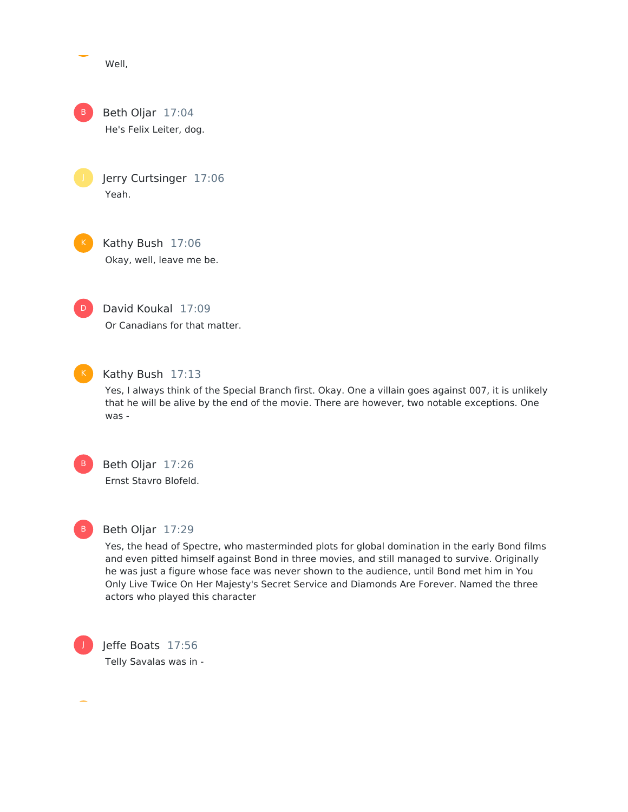Well,

Beth Oljar 17:04 He's Felix Leiter, dog. B

> Jerry Curtsinger 17:06 Yeah.

Kathy Bush 17:06 Okay, well, leave me be.



David Koukal 17:09 Or Canadians for that matter.



### K Kathy Bush 17:13

Yes, I always think of the Special Branch first. Okay. One a villain goes against 007, it is unlikely that he will be alive by the end of the movie. There are however, two notable exceptions. One was -



# Beth Oljar 17:26

Ernst Stavro Blofeld.



### Beth Oljar 17:29

Yes, the head of Spectre, who masterminded plots for global domination in the early Bond films and even pitted himself against Bond in three movies, and still managed to survive. Originally he was just a figure whose face was never shown to the audience, until Bond met him in You Only Live Twice On Her Majesty's Secret Service and Diamonds Are Forever. Named the three actors who played this character



Jeffe Boats 17:56 Telly Savalas was in -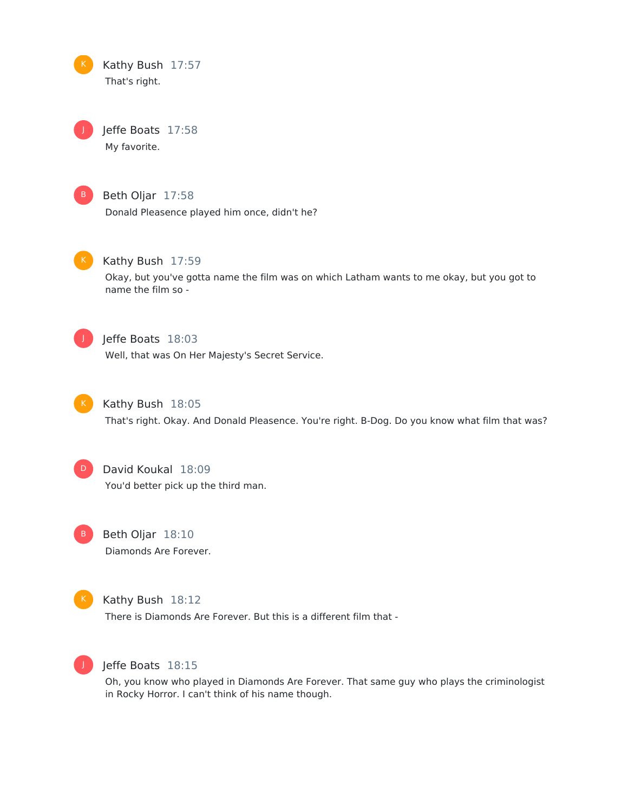

Jeffe Boats 17:58 My favorite.



J

### Beth Oljar 17:58

Donald Pleasence played him once, didn't he?



### Kathy Bush 17:59

Okay, but you've gotta name the film was on which Latham wants to me okay, but you got to name the film so -



### Jeffe Boats 18:03

Well, that was On Her Majesty's Secret Service.



### Kathy Bush 18:05

That's right. Okay. And Donald Pleasence. You're right. B-Dog. Do you know what film that was?



### David Koukal 18:09

You'd better pick up the third man.



Beth Oljar 18:10 Diamonds Are Forever.



#### Kathy Bush 18:12

There is Diamonds Are Forever. But this is a different film that -



### Jeffe Boats 18:15

Oh, you know who played in Diamonds Are Forever. That same guy who plays the criminologist in Rocky Horror. I can't think of his name though.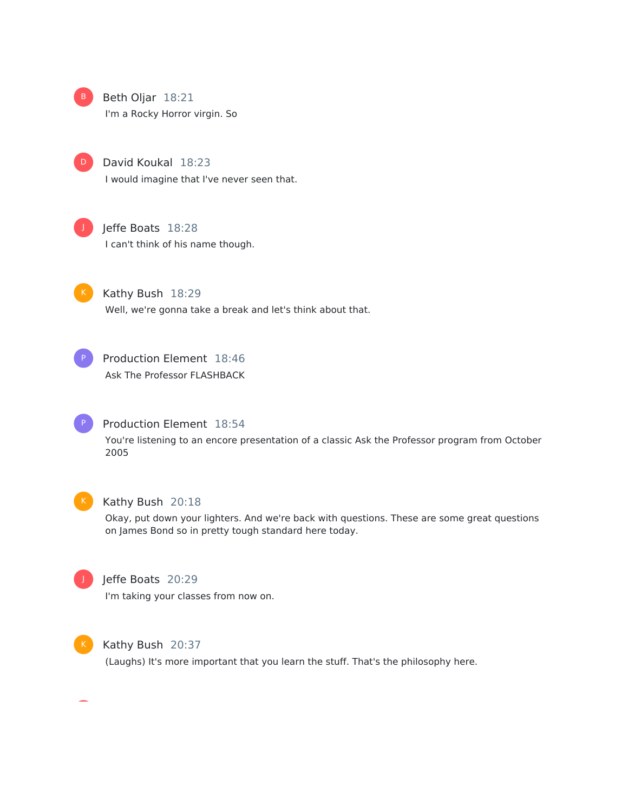

B Beth Oljar 18:21

I'm a Rocky Horror virgin. So



David Koukal 18:23 I would imagine that I've never seen that.



### Jeffe Boats 18:28

I can't think of his name though.



Kathy Bush 18:29 Well, we're gonna take a break and let's think about that.



Production Element 18:46 Ask The Professor FLASHBACK



### Production Element 18:54

You're listening to an encore presentation of a classic Ask the Professor program from October 2005



#### Kathy Bush 20:18

Okay, put down your lighters. And we're back with questions. These are some great questions on James Bond so in pretty tough standard here today.



### Jeffe Boats 20:29

I'm taking your classes from now on.



#### Kathy Bush 20:37

(Laughs) It's more important that you learn the stuff. That's the philosophy here.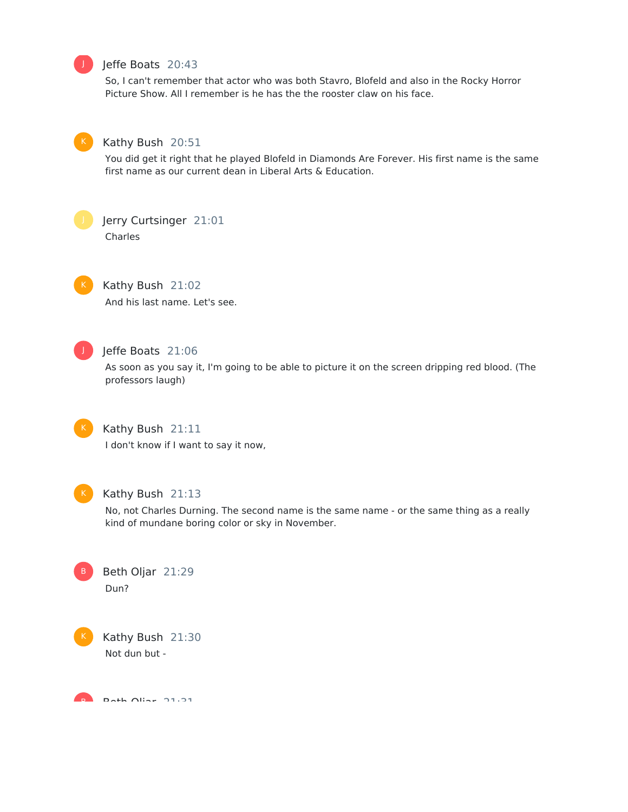

### Jeffe Boats 20:43

So, I can't remember that actor who was both Stavro, Blofeld and also in the Rocky Horror Picture Show. All I remember is he has the the rooster claw on his face.



#### Kathy Bush 20:51

You did get it right that he played Blofeld in Diamonds Are Forever. His first name is the same first name as our current dean in Liberal Arts & Education.



### Jerry Curtsinger 21:01

Charles



### Kathy Bush 21:02

And his last name. Let's see.



### Jeffe Boats 21:06

As soon as you say it, I'm going to be able to picture it on the screen dripping red blood. (The professors laugh)



### Kathy Bush 21:11

I don't know if I want to say it now,



#### Kathy Bush 21:13

No, not Charles Durning. The second name is the same name - or the same thing as a really kind of mundane boring color or sky in November.

Beth Oljar 21:29 Dun?

Kathy Bush 21:30 Not dun but -

Beth Olian 21.31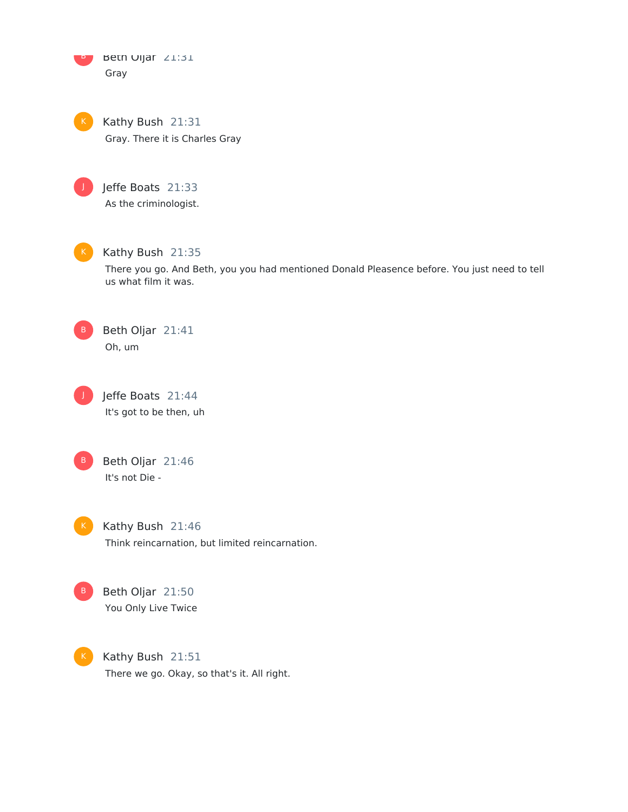Beth Oljar 21:31 Gray B

Kathy Bush 21:31 Gray. There it is Charles Gray



Jeffe Boats 21:33 As the criminologist.



Kathy Bush 21:35

There you go. And Beth, you you had mentioned Donald Pleasence before. You just need to tell us what film it was.



Beth Oljar 21:41 Oh, um



Jeffe Boats 21:44 It's got to be then, uh



B Beth Oljar 21:46 It's not Die -

K Kathy Bush  $21:46$ Think reincarnation, but limited reincarnation.



B Beth Oljar 21:50 You Only Live Twice

Kathy Bush 21:51 There we go. Okay, so that's it. All right.  $K$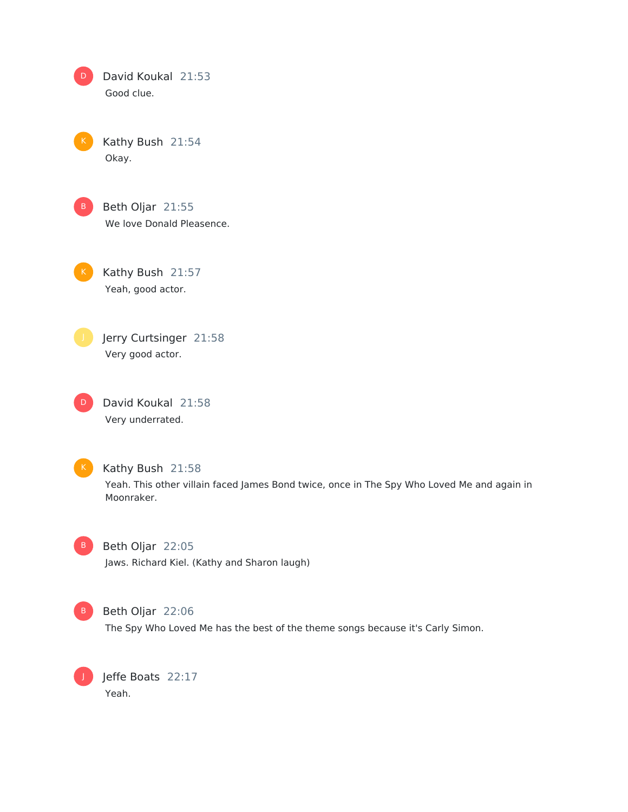| David Koukal 21:53 |  |
|--------------------|--|
| Good clue.         |  |

Kathy Bush 21:54 Okay.



Beth Oljar 21:55 We love Donald Pleasence.

Kathy Bush 21:57 Yeah, good actor.



Jerry Curtsinger 21:58 Very good actor.

David Koukal 21:58 Very underrated. D



Kathy Bush 21:58

Yeah. This other villain faced James Bond twice, once in The Spy Who Loved Me and again in Moonraker.



Beth Oljar 22:05 Jaws. Richard Kiel. (Kathy and Sharon laugh)



B Beth Oljar 22:06

The Spy Who Loved Me has the best of the theme songs because it's Carly Simon.

Jeffe Boats 22:17 Yeah.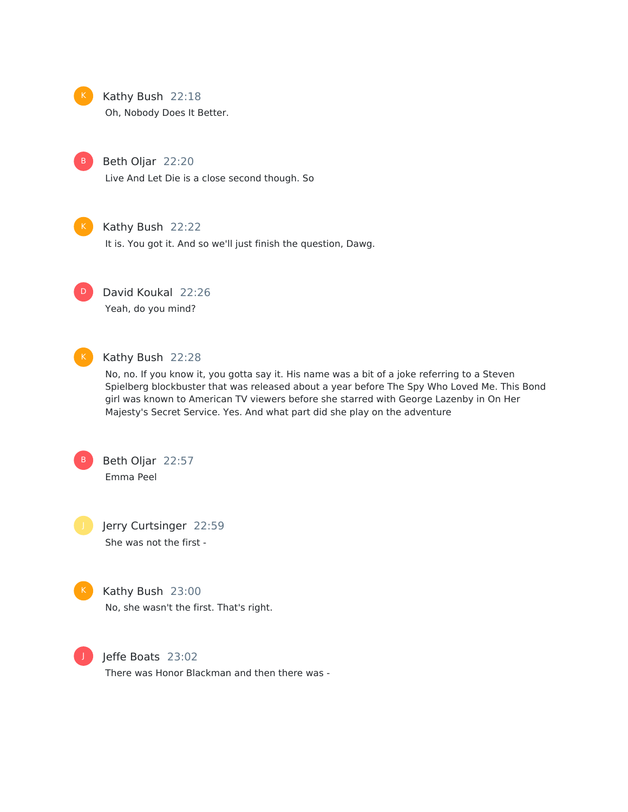

### Kathy Bush 22:18

Oh, Nobody Does It Better.



#### Beth Oljar 22:20

Live And Let Die is a close second though. So



#### Kathy Bush 22:22

It is. You got it. And so we'll just finish the question, Dawg.



David Koukal 22:26

Yeah, do you mind?



### Kathy Bush 22:28

No, no. If you know it, you gotta say it. His name was a bit of a joke referring to a Steven Spielberg blockbuster that was released about a year before The Spy Who Loved Me. This Bond girl was known to American TV viewers before she starred with George Lazenby in On Her Majesty's Secret Service. Yes. And what part did she play on the adventure



Beth Oljar 22:57 Emma Peel

Jerry Curtsinger 22:59 She was not the first -



### Kathy Bush 23:00

No, she wasn't the first. That's right.



### Jeffe Boats 23:02

There was Honor Blackman and then there was -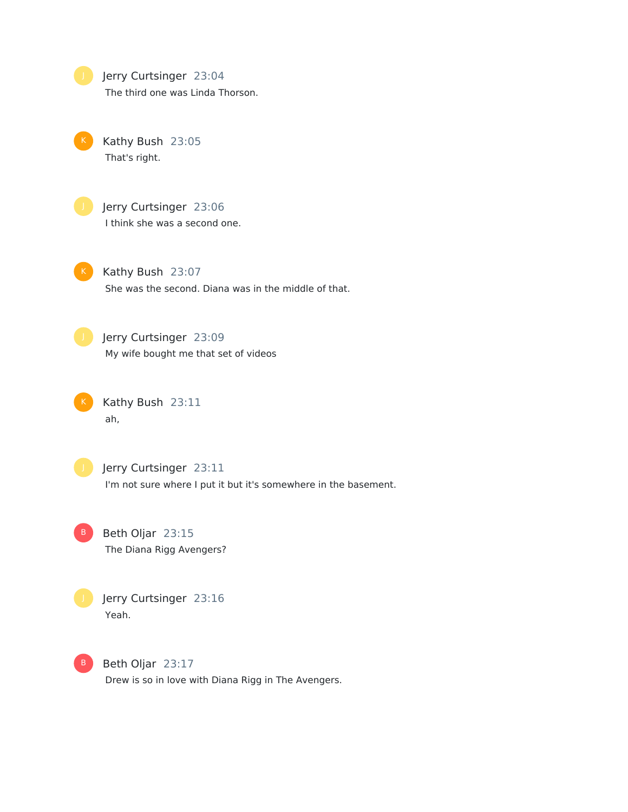**July Jerry Curtsinger 23:04** The third one was Linda Thorson.

Kathy Bush 23:05 That's right.

Jerry Curtsinger 23:06 I think she was a second one.

K Kathy Bush 23:07 She was the second. Diana was in the middle of that.

**Julie** Jerry Curtsinger 23:09 My wife bought me that set of videos

Kathy Bush 23:11 ah,

**Julie** Jerry Curtsinger 23:11 I'm not sure where I put it but it's somewhere in the basement.

B Beth Oljar 23:15 The Diana Rigg Avengers?



B Beth Oljar 23:17 Drew is so in love with Diana Rigg in The Avengers.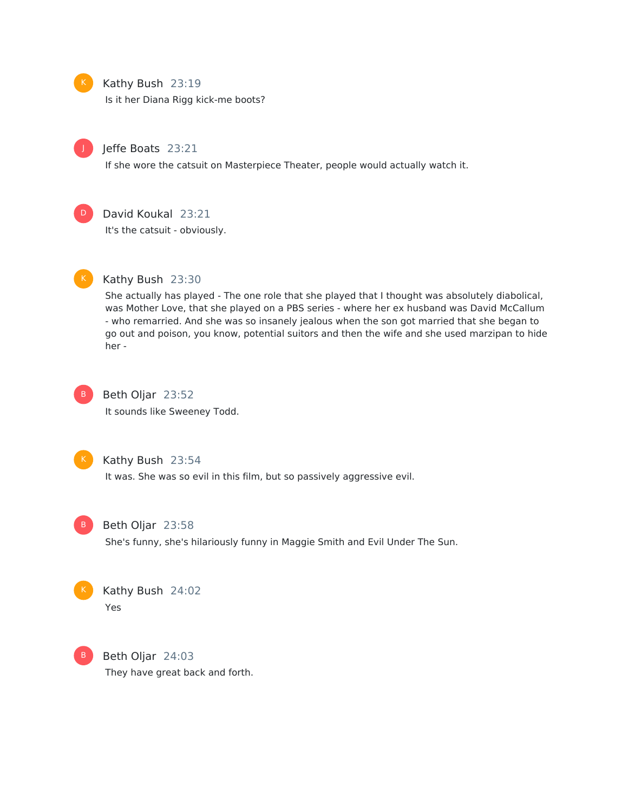### Kathy Bush 23:19

Is it her Diana Rigg kick-me boots?



### Jeffe Boats 23:21

If she wore the catsuit on Masterpiece Theater, people would actually watch it.



### David Koukal 23:21

It's the catsuit - obviously.



### Kathy Bush 23:30

She actually has played - The one role that she played that I thought was absolutely diabolical, was Mother Love, that she played on a PBS series - where her ex husband was David McCallum - who remarried. And she was so insanely jealous when the son got married that she began to go out and poison, you know, potential suitors and then the wife and she used marzipan to hide her -



## Beth Oljar 23:52

It sounds like Sweeney Todd.



#### Kathy Bush 23:54

It was. She was so evil in this film, but so passively aggressive evil.



#### Beth Oljar 23:58

She's funny, she's hilariously funny in Maggie Smith and Evil Under The Sun.



### Kathy Bush 24:02 Yes



Beth Oljar 24:03 They have great back and forth.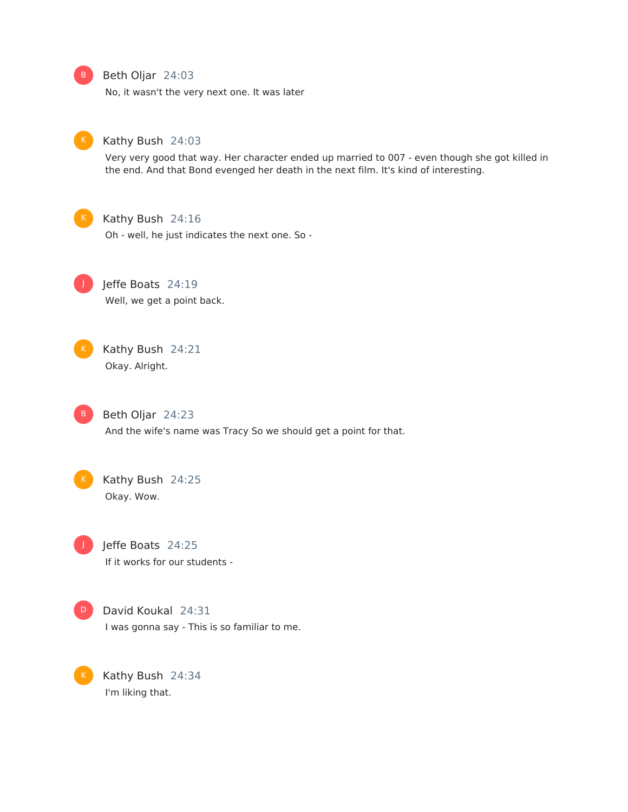#### B Beth Oljar 24:03

No, it wasn't the very next one. It was later



#### Kathy Bush 24:03

Very very good that way. Her character ended up married to 007 - even though she got killed in the end. And that Bond evenged her death in the next film. It's kind of interesting.



#### Kathy Bush 24:16

Oh - well, he just indicates the next one. So -

Jeffe Boats 24:19 Well, we get a point back. J





Beth Oljar 24:23

And the wife's name was Tracy So we should get a point for that.



Kathy Bush 24:25 Okay. Wow.



Jeffe Boats 24:25 If it works for our students -



David Koukal 24:31

I was gonna say - This is so familiar to me.



Kathy Bush 24:34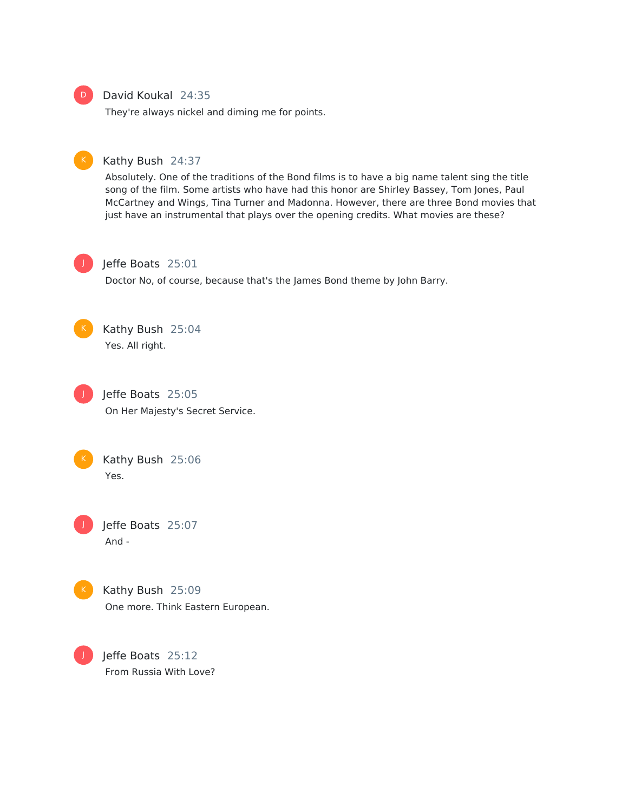

### David Koukal 24:35

They're always nickel and diming me for points.



#### Kathy Bush 24:37

Absolutely. One of the traditions of the Bond films is to have a big name talent sing the title song of the film. Some artists who have had this honor are Shirley Bassey, Tom Jones, Paul McCartney and Wings, Tina Turner and Madonna. However, there are three Bond movies that just have an instrumental that plays over the opening credits. What movies are these?



#### Jeffe Boats 25:01

Doctor No, of course, because that's the James Bond theme by John Barry.



Kathy Bush 25:04 Yes. All right.



Jeffe Boats 25:05 On Her Majesty's Secret Service.



Kathy Bush 25:06 Yes.

Jeffe Boats 25:07 And - J



Kathy Bush 25:09 One more. Think Eastern European.

Jeffe Boats 25:12 From Russia With Love?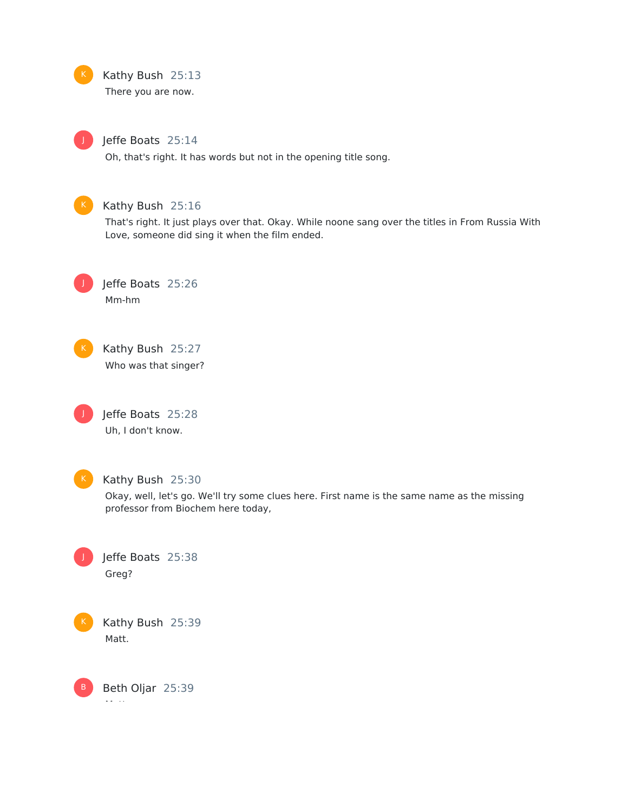### Kathy Bush 25:13

There you are now.

J

### Jeffe Boats 25:14

Oh, that's right. It has words but not in the opening title song.



### Kathy Bush 25:16

That's right. It just plays over that. Okay. While noone sang over the titles in From Russia With Love, someone did sing it when the film ended.



Jeffe Boats 25:26 Mm-hm







### Kathy Bush 25:30

Okay, well, let's go. We'll try some clues here. First name is the same name as the missing professor from Biochem here today,



Kathy Bush 25:39 Matt.

Beth Oljar 25:39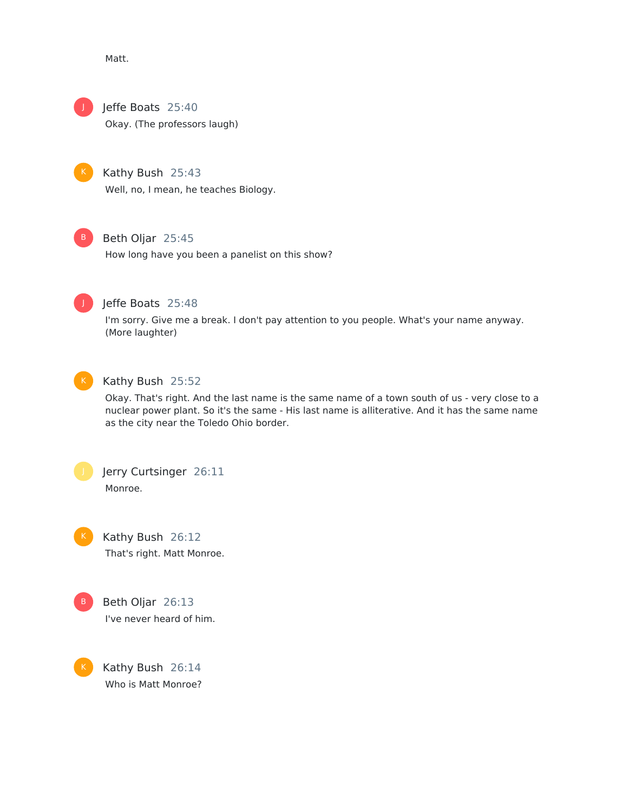Matt.



Jeffe Boats 25:40

Okay. (The professors laugh)



Kathy Bush 25:43 Well, no, I mean, he teaches Biology.



### Beth Oljar 25:45

How long have you been a panelist on this show?



### Jeffe Boats 25:48

I'm sorry. Give me a break. I don't pay attention to you people. What's your name anyway. (More laughter)



### Kathy Bush 25:52

Okay. That's right. And the last name is the same name of a town south of us - very close to a nuclear power plant. So it's the same - His last name is alliterative. And it has the same name as the city near the Toledo Ohio border.



Jerry Curtsinger 26:11 Monroe.



Kathy Bush 26:12 That's right. Matt Monroe.



K

Beth Oljar 26:13 I've never heard of him.

Kathy Bush 26:14 Who is Matt Monroe?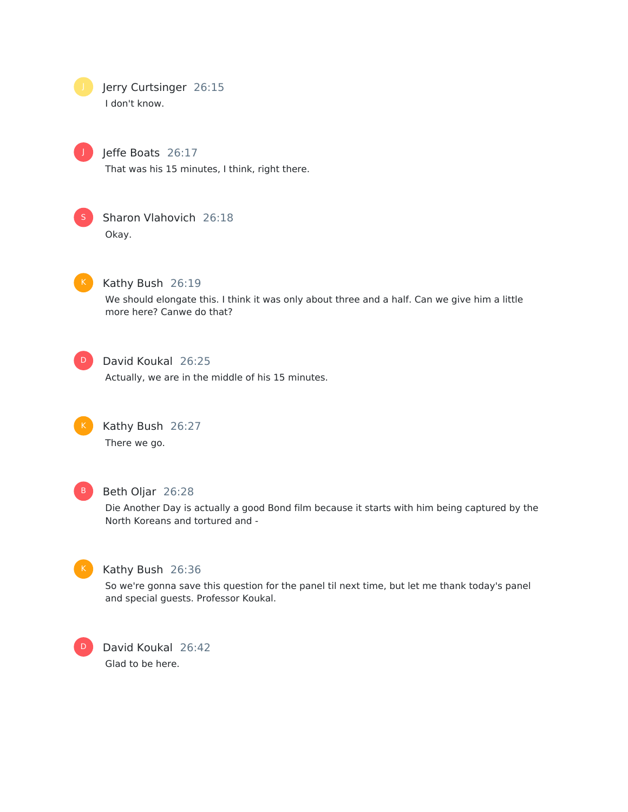Jerry Curtsinger 26:15 I don't know.



Jeffe Boats 26:17

That was his 15 minutes, I think, right there.



Sharon Vlahovich 26:18 Okay.



#### Kathy Bush 26:19

We should elongate this. I think it was only about three and a half. Can we give him a little more here? Canwe do that?



### David Koukal 26:25

Actually, we are in the middle of his 15 minutes.



Kathy Bush 26:27 There we go.



### Beth Oljar 26:28

Die Another Day is actually a good Bond film because it starts with him being captured by the North Koreans and tortured and -



### Kathy Bush 26:36

So we're gonna save this question for the panel til next time, but let me thank today's panel and special guests. Professor Koukal.



David Koukal 26:42 Glad to be here.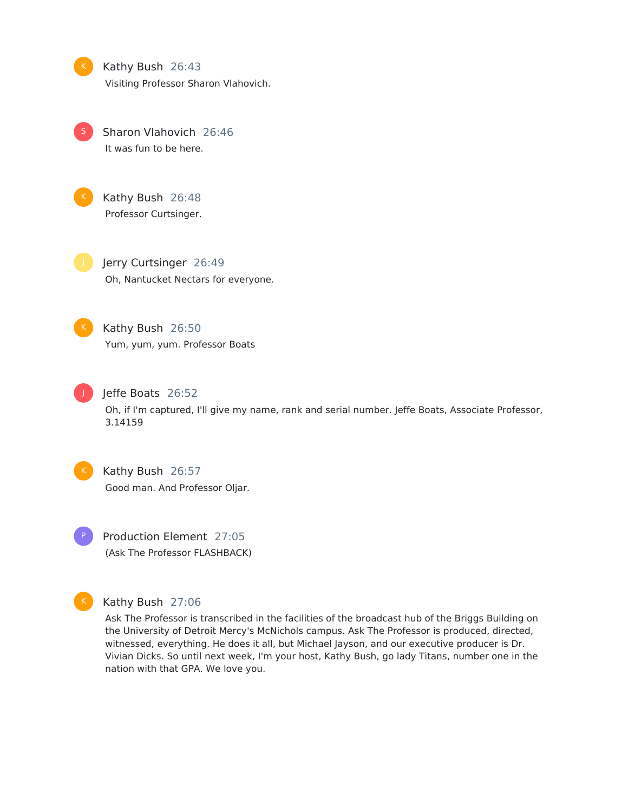Kathy Bush 26:43 Visiting Professor Sharon Vlahovich.

Sharon Vlahovich 26:46 It was fun to be here. S



Kathy Bush 26:48 Professor Curtsinger.

Jerry Curtsinger 26:49 Oh, Nantucket Nectars for everyone.



Kathy Bush 26:50 Yum, yum, yum. Professor Boats



Jeffe Boats 26:52

Oh, if I'm captured, I'll give my name, rank and serial number. Jeffe Boats, Associate Professor, 3.14159



Kathy Bush 26:57 Good man. And Professor Oljar.

Production Element 27:05 (Ask The Professor FLASHBACK)



### Kathy Bush 27:06

Ask The Professor is transcribed in the facilities of the broadcast hub of the Briggs Building on the University of Detroit Mercy's McNichols campus. Ask The Professor is produced, directed, witnessed, everything. He does it all, but Michael Jayson, and our executive producer is Dr. Vivian Dicks. So until next week, I'm your host, Kathy Bush, go lady Titans, number one in the nation with that GPA. We love you.